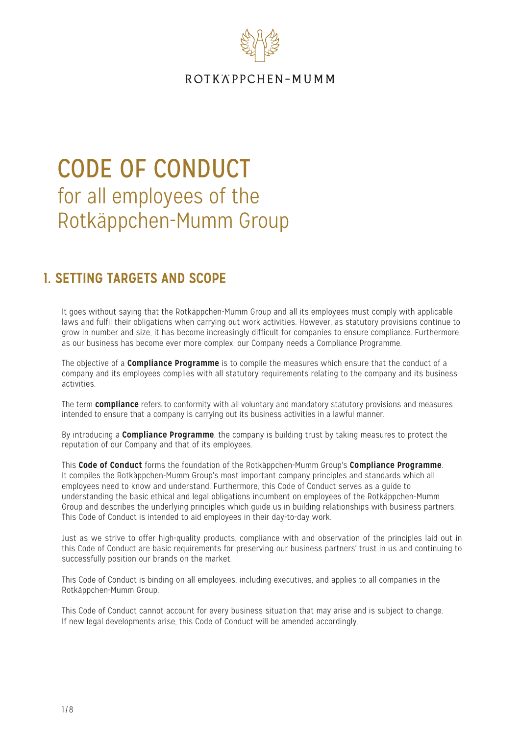

# CODE OF CONDUCT for all employees of the Rotkäppchen-Mumm Group

# 1. SETTING TARGETS AND SCOPE

It goes without saying that the Rotkäppchen-Mumm Group and all its employees must comply with applicable laws and fulfil their obligations when carrying out work activities. However, as statutory provisions continue to grow in number and size, it has become increasingly difficult for companies to ensure compliance. Furthermore, as our business has become ever more complex, our Company needs a Compliance Programme.

The objective of a **Compliance Programme** is to compile the measures which ensure that the conduct of a company and its employees complies with all statutory requirements relating to the company and its business activities.

The term **compliance** refers to conformity with all voluntary and mandatory statutory provisions and measures intended to ensure that a company is carrying out its business activities in a lawful manner.

By introducing a **Compliance Programme**, the company is building trust by taking measures to protect the reputation of our Company and that of its employees.

This **Code of Conduct** forms the foundation of the Rotkäppchen-Mumm Group's **Compliance Programme**. It compiles the Rotkäppchen-Mumm Group's most important company principles and standards which all employees need to know and understand. Furthermore, this Code of Conduct serves as a guide to understanding the basic ethical and legal obligations incumbent on employees of the Rotkäppchen-Mumm Group and describes the underlying principles which guide us in building relationships with business partners. This Code of Conduct is intended to aid employees in their day-to-day work.

Just as we strive to offer high-quality products, compliance with and observation of the principles laid out in this Code of Conduct are basic requirements for preserving our business partners' trust in us and continuing to successfully position our brands on the market.

This Code of Conduct is binding on all employees, including executives, and applies to all companies in the Rotkäppchen-Mumm Group.

This Code of Conduct cannot account for every business situation that may arise and is subject to change. If new legal developments arise, this Code of Conduct will be amended accordingly.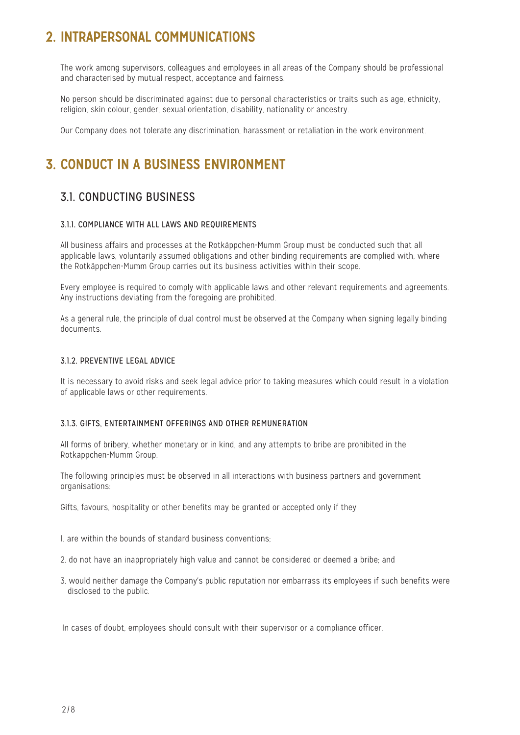# 2. INTRAPERSONAL COMMUNICATIONS

The work among supervisors, colleagues and employees in all areas of the Company should be professional and characterised by mutual respect, acceptance and fairness.

No person should be discriminated against due to personal characteristics or traits such as age, ethnicity, religion, skin colour, gender, sexual orientation, disability, nationality or ancestry.

Our Company does not tolerate any discrimination, harassment or retaliation in the work environment.

# 3. CONDUCT IN A BUSINESS ENVIRONMENT

### 3.1. CONDUCTING BUSINESS

### 3.1.1. COMPLIANCE WITH ALL LAWS AND REQUIREMENTS

All business affairs and processes at the Rotkäppchen-Mumm Group must be conducted such that all applicable laws, voluntarily assumed obligations and other binding requirements are complied with, where the Rotkäppchen-Mumm Group carries out its business activities within their scope.

Every employee is required to comply with applicable laws and other relevant requirements and agreements. Any instructions deviating from the foregoing are prohibited.

As a general rule, the principle of dual control must be observed at the Company when signing legally binding documents.

#### 3.1.2. PREVENTIVE LEGAL ADVICE

It is necessary to avoid risks and seek legal advice prior to taking measures which could result in a violation of applicable laws or other requirements.

#### 3.1.3. GIFTS, ENTERTAINMENT OFFERINGS AND OTHER REMUNERATION

All forms of bribery, whether monetary or in kind, and any attempts to bribe are prohibited in the Rotkäppchen-Mumm Group.

The following principles must be observed in all interactions with business partners and government organisations:

Gifts, favours, hospitality or other benefits may be granted or accepted only if they

1. are within the bounds of standard business conventions;

- 2. do not have an inappropriately high value and cannot be considered or deemed a bribe; and
- 3. would neither damage the Company's public reputation nor embarrass its employees if such benefits were disclosed to the public.

In cases of doubt, employees should consult with their supervisor or a compliance officer.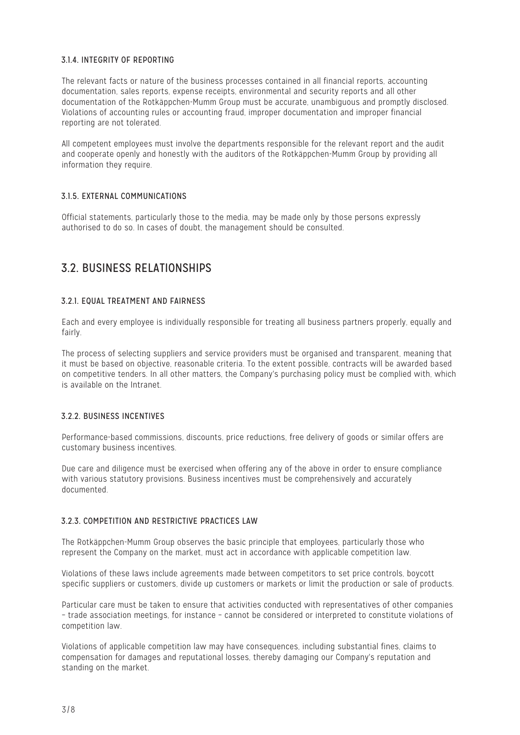#### 3.1.4. INTEGRITY OF REPORTING

The relevant facts or nature of the business processes contained in all financial reports, accounting documentation, sales reports, expense receipts, environmental and security reports and all other documentation of the Rotkäppchen-Mumm Group must be accurate, unambiguous and promptly disclosed. Violations of accounting rules or accounting fraud, improper documentation and improper financial reporting are not tolerated.

All competent employees must involve the departments responsible for the relevant report and the audit and cooperate openly and honestly with the auditors of the Rotkäppchen-Mumm Group by providing all information they require.

### 3.1.5. EXTERNAL COMMUNICATIONS

Official statements, particularly those to the media, may be made only by those persons expressly authorised to do so. In cases of doubt, the management should be consulted.

### 3.2. BUSINESS RELATIONSHIPS

### 3.2.1. EQUAL TREATMENT AND FAIRNESS

Each and every employee is individually responsible for treating all business partners properly, equally and fairly.

The process of selecting suppliers and service providers must be organised and transparent, meaning that it must be based on objective, reasonable criteria. To the extent possible, contracts will be awarded based on competitive tenders. In all other matters, the Company's purchasing policy must be complied with, which is available on the Intranet.

### 3.2.2. BUSINESS INCENTIVES

Performance-based commissions, discounts, price reductions, free delivery of goods or similar offers are customary business incentives.

Due care and diligence must be exercised when offering any of the above in order to ensure compliance with various statutory provisions. Business incentives must be comprehensively and accurately documented.

#### 3.2.3. COMPETITION AND RESTRICTIVE PRACTICES LAW

The Rotkäppchen-Mumm Group observes the basic principle that employees, particularly those who represent the Company on the market, must act in accordance with applicable competition law.

Violations of these laws include agreements made between competitors to set price controls, boycott specific suppliers or customers, divide up customers or markets or limit the production or sale of products.

Particular care must be taken to ensure that activities conducted with representatives of other companies – trade association meetings, for instance – cannot be considered or interpreted to constitute violations of competition law.

Violations of applicable competition law may have consequences, including substantial fines, claims to compensation for damages and reputational losses, thereby damaging our Company's reputation and standing on the market.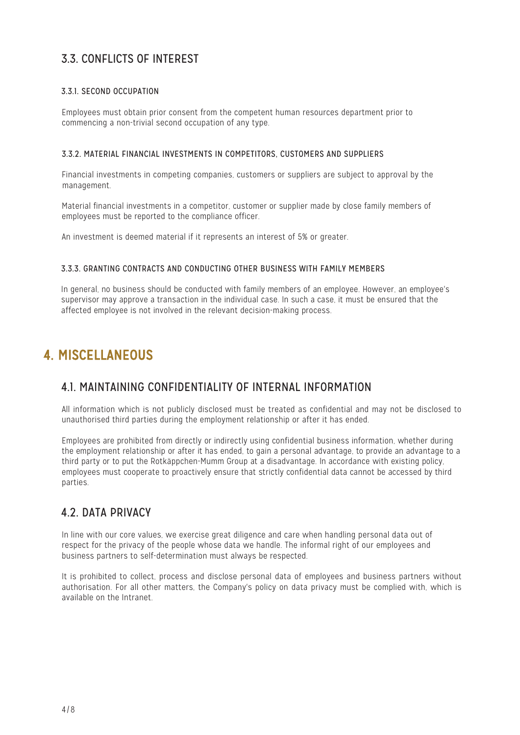### 3.3. CONFLICTS OF INTEREST

### 3.3.1. SECOND OCCUPATION

Employees must obtain prior consent from the competent human resources department prior to commencing a non-trivial second occupation of any type.

#### 3.3.2. MATERIAL FINANCIAL INVESTMENTS IN COMPETITORS, CUSTOMERS AND SUPPLIERS

Financial investments in competing companies, customers or suppliers are subject to approval by the management.

Material financial investments in a competitor, customer or supplier made by close family members of employees must be reported to the compliance officer.

An investment is deemed material if it represents an interest of 5% or greater.

### 3.3.3. GRANTING CONTRACTS AND CONDUCTING OTHER BUSINESS WITH FAMILY MEMBERS

In general, no business should be conducted with family members of an employee. However, an employee's supervisor may approve a transaction in the individual case. In such a case, it must be ensured that the affected employee is not involved in the relevant decision-making process.

# 4. MISCELLANEOUS

### 4.1. MAINTAINING CONFIDENTIALITY OF INTERNAL INFORMATION

All information which is not publicly disclosed must be treated as confidential and may not be disclosed to unauthorised third parties during the employment relationship or after it has ended.

Employees are prohibited from directly or indirectly using confidential business information, whether during the employment relationship or after it has ended, to gain a personal advantage, to provide an advantage to a third party or to put the Rotkäppchen-Mumm Group at a disadvantage. In accordance with existing policy, employees must cooperate to proactively ensure that strictly confidential data cannot be accessed by third parties.

### 4.2. DATA PRIVACY

In line with our core values, we exercise great diligence and care when handling personal data out of respect for the privacy of the people whose data we handle. The informal right of our employees and business partners to self-determination must always be respected.

It is prohibited to collect, process and disclose personal data of employees and business partners without authorisation. For all other matters, the Company's policy on data privacy must be complied with, which is available on the Intranet.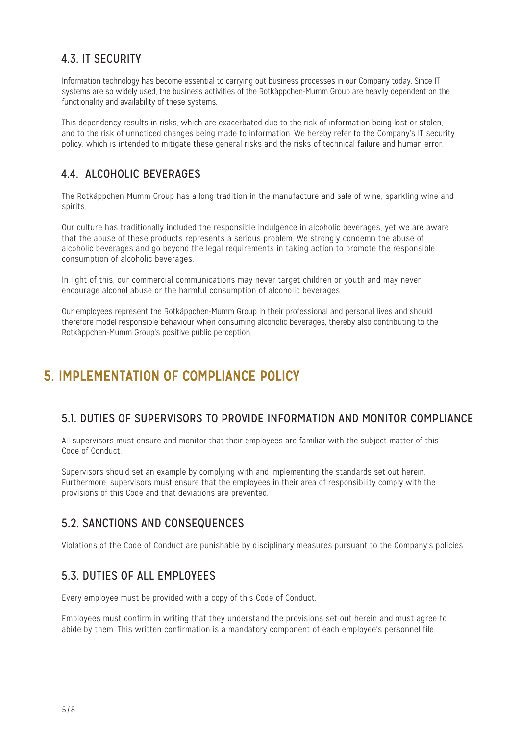### 4.3. IT SECURITY

Information technology has become essential to carrying out business processes in our Company today. Since IT systems are so widely used, the business activities of the Rotkäppchen-Mumm Group are heavily dependent on the functionality and availability of these systems.

This dependency results in risks, which are exacerbated due to the risk of information being lost or stolen and to the risk of unnoticed changes being made to information. We hereby refer to the Company's IT security policy, which is intended to mitigate these general risks and the risks of technical failure and human error.

### 4.4. ALCOHOLIC BEVERAGES

The Rotkäppchen-Mumm Group has a long tradition in the manufacture and sale of wine, sparkling wine and spirits.

Our culture has traditionally included the responsible indulgence in alcoholic beverages, yet we are aware that the abuse of these products represents a serious problem. We strongly condemn the abuse of alcoholic beverages and go beyond the legal requirements in taking action to promote the responsible consumption of alcoholic beverages.

In light of this, our commercial communications may never target children or youth and may never encourage alcohol abuse or the harmful consumption of alcoholic beverages.

Our employees represent the Rotkäppchen-Mumm Group in their professional and personal lives and should therefore model responsible behaviour when consuming alcoholic beverages, thereby also contributing to the Rotkäppchen-Mumm Group's positive public perception.

# 5. IMPLEMENTATION OF COMPLIANCE POLICY

### 5.1. DUTIES OF SUPERVISORS TO PROVIDE INFORMATION AND MONITOR COMPLIANCE

All supervisors must ensure and monitor that their employees are familiar with the subject matter of this Code of Conduct.

Supervisors should set an example by complying with and implementing the standards set out herein. Furthermore, supervisors must ensure that the employees in their area of responsibility comply with the provisions of this Code and that deviations are prevented.

### 5.2. SANCTIONS AND CONSEQUENCES

Violations of the Code of Conduct are punishable by disciplinary measures pursuant to the Company's policies.

### 5.3. DUTIES OF ALL EMPLOYEES

Every employee must be provided with a copy of this Code of Conduct.

Employees must confirm in writing that they understand the provisions set out herein and must agree to abide by them. This written confirmation is a mandatory component of each employee's personnel file.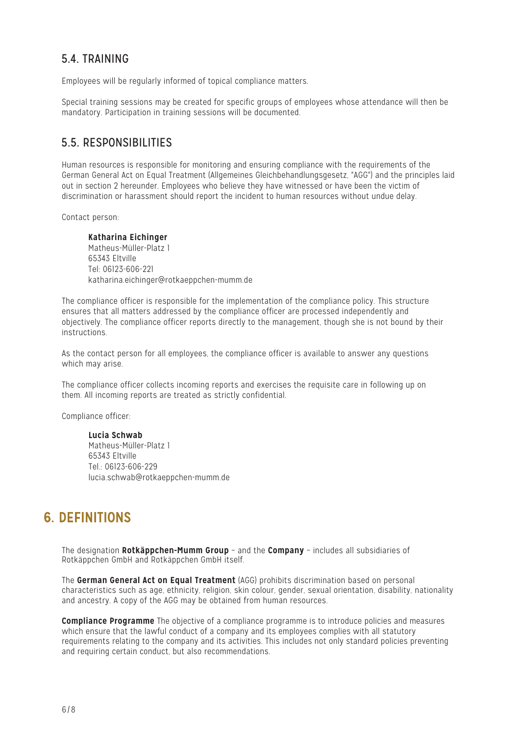### 5.4.

Employees will be regularly informed of topical compliance matters.

Special training sessions may be created for specific groups of employees whose attendance will then be mandatory. Participation in training sessions will be documented.

### 5.5 RESPONSIBILITIES

Human resources is responsible for monitoring and ensuring compliance with the requirements of the German General Act on Equal Treatment (Allgemeines Gleichbehandlungsgesetz, "AGG") and the principles laid out in section 2 hereunder. Employees who believe they have witnessed or have been the victim of discrimination or harassment should report the incident to human resources without undue delay.

Contact person:

**Katharina Eichinger** Matheus-Müller-Platz 1 65343 Eltville Tel: 06123-606-221 katharina.eichinger@rotkaeppchen-mumm.de

The compliance officer is responsible for the implementation of the compliance policy. This structure ensures that all matters addressed by the compliance officer are processed independently and objectively. The compliance officer reports directly to the management, though she is not bound by their instructions.

As the contact person for all employees, the compliance officer is available to answer any questions which may arise.

The compliance officer collects incoming reports and exercises the requisite care in following up on them. All incoming reports are treated as strictly confidential.

Compliance officer:

**Lucia Schwab** Matheus-Müller-Platz 1 65343 Eltville Tel.: 06123-606-229 lucia.schwab@rotkaeppchen-mumm.de

## 6. DEFINITIONS

The designation **Rotkäppchen-Mumm Group** – and the **Company** – includes all subsidiaries of Rotkäppchen GmbH and Rotkäppchen GmbH itself.

The **German General Act on Equal Treatment** (AGG) prohibits discrimination based on personal characteristics such as age, ethnicity, religion, skin colour, gender, sexual orientation, disability, nationality and ancestry. A copy of the AGG may be obtained from human resources.

**Compliance Programme** The objective of a compliance programme is to introduce policies and measures which ensure that the lawful conduct of a company and its employees complies with all statutory requirements relating to the company and its activities. This includes not only standard policies preventing and requiring certain conduct, but also recommendations.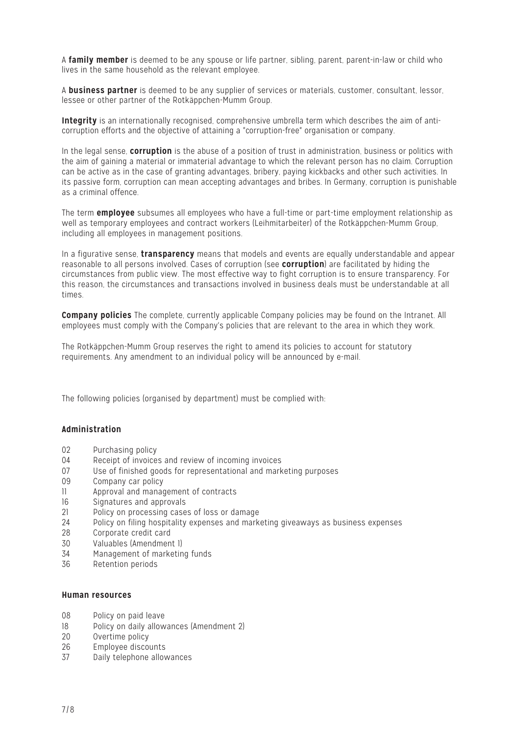A **family member** is deemed to be any spouse or life partner, sibling, parent, parent-in-law or child who lives in the same household as the relevant employee.

A **business partner** is deemed to be any supplier of services or materials, customer, consultant, lessor, lessee or other partner of the Rotkäppchen-Mumm Group.

**Integrity** is an internationally recognised, comprehensive umbrella term which describes the aim of anticorruption efforts and the objective of attaining a "corruption-free" organisation or company.

In the legal sense, **corruption** is the abuse of a position of trust in administration, business or politics with the aim of gaining a material or immaterial advantage to which the relevant person has no claim. Corruption can be active as in the case of granting advantages, bribery, paying kickbacks and other such activities. In its passive form, corruption can mean accepting advantages and bribes. In Germany, corruption is punishable as a criminal offence.

The term **employee** subsumes all employees who have a full-time or part-time employment relationship as well as temporary employees and contract workers (Leihmitarbeiter) of the Rotkäppchen-Mumm Group, including all employees in management positions.

In a figurative sense, **transparency** means that models and events are equally understandable and appear reasonable to all persons involved. Cases of corruption (see **corruption**) are facilitated by hiding the circumstances from public view. The most effective way to fight corruption is to ensure transparency. For this reason, the circumstances and transactions involved in business deals must be understandable at all times.

**Company policies** The complete, currently applicable Company policies may be found on the Intranet. All employees must comply with the Company's policies that are relevant to the area in which they work.

The Rotkäppchen-Mumm Group reserves the right to amend its policies to account for statutory requirements. Any amendment to an individual policy will be announced by e-mail.

The following policies (organised by department) must be complied with:

#### **Administration**

- 02 Purchasing policy
- 04 Receipt of invoices and review of incoming invoices
- 07 Use of finished goods for representational and marketing purposes
- 09 Company car policy
- 11 Approval and management of contracts
- 16 Signatures and approvals
- 21 Policy on processing cases of loss or damage<br>24 Policy on filing hospitality expenses and mark
- 24 Policy on filing hospitality expenses and marketing giveaways as business expenses<br>28 Cornorate credit card
- 28 Corporate credit card<br>30 Valuables (Amendmen
- Valuables (Amendment 1)
- 34 Management of marketing funds
- 36 Retention periods

#### **Human resources**

- 08 Policy on paid leave<br>18 Dolicy on daily allow
- 18 Policy on daily allowances (Amendment 2)<br>20 Overtime policy
- Overtime policy
- 26 Employee discounts
- 37 Daily telephone allowances